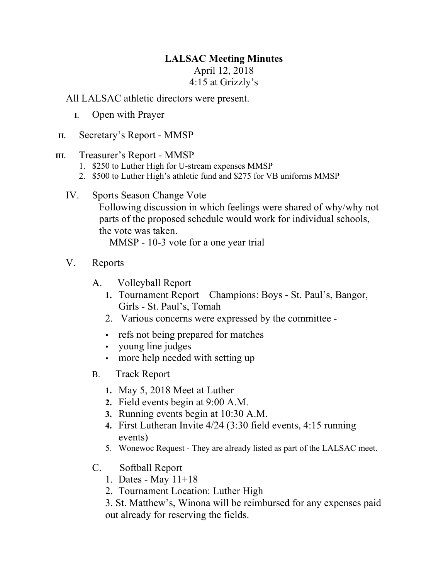## **LALSAC Meeting Minutes**

## April 12, 2018 4:15 at Grizzly's

All LALSAC athletic directors were present.

- **I.** Open with Prayer
- **II.** Secretary's Report MMSP

## **III.** Treasurer's Report - MMSP

- 1. \$250 to Luther High for U-stream expenses MMSP
- 2. \$500 to Luther High's athletic fund and \$275 for VB uniforms MMSP
- IV. Sports Season Change Vote Following discussion in which feelings were shared of why/why not parts of the proposed schedule would work for individual schools, the vote was taken. MMSP - 10-3 vote for a one year trial
- V. Reports
	- A. Volleyball Report
		- **1.** Tournament Report Champions: Boys St. Paul's, Bangor, Girls - St. Paul's, Tomah
		- 2. Various concerns were expressed by the committee -
		- refs not being prepared for matches
		- young line judges
		- more help needed with setting up
	- B. Track Report
		- **1.** May 5, 2018 Meet at Luther
		- **2.** Field events begin at 9:00 A.M.
		- **3.** Running events begin at 10:30 A.M.
		- **4.** First Lutheran Invite 4/24 (3:30 field events, 4:15 running events)
		- 5. Wonewoc Request They are already listed as part of the LALSAC meet.
	- C. Softball Report
		- 1. Dates May 11+18
		- 2. Tournament Location: Luther High

3. St. Matthew's, Winona will be reimbursed for any expenses paid out already for reserving the fields.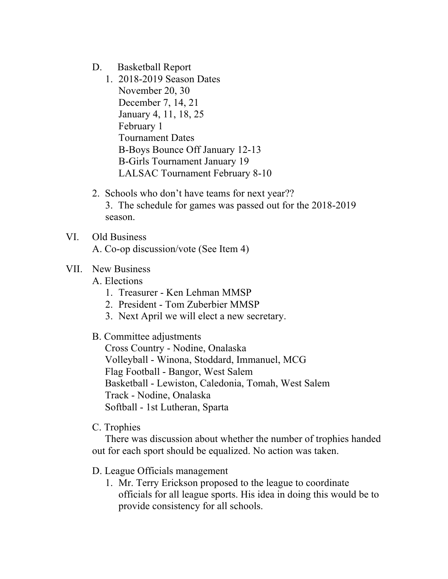- D. Basketball Report
	- 1. 2018-2019 Season Dates November 20, 30 December 7, 14, 21 January 4, 11, 18, 25 February 1 Tournament Dates B-Boys Bounce Off January 12-13 B-Girls Tournament January 19 LALSAC Tournament February 8-10
- 2. Schools who don't have teams for next year?? 3. The schedule for games was passed out for the 2018-2019 season.
- VI. Old Business A. Co-op discussion/vote (See Item 4)

## VII. New Business

A. Elections

- 1. Treasurer Ken Lehman MMSP
- 2. President Tom Zuberbier MMSP
- 3. Next April we will elect a new secretary.
- B. Committee adjustments

Cross Country - Nodine, Onalaska Volleyball - Winona, Stoddard, Immanuel, MCG Flag Football - Bangor, West Salem Basketball - Lewiston, Caledonia, Tomah, West Salem Track - Nodine, Onalaska Softball - 1st Lutheran, Sparta

C. Trophies

There was discussion about whether the number of trophies handed out for each sport should be equalized. No action was taken.

- D. League Officials management
	- 1. Mr. Terry Erickson proposed to the league to coordinate officials for all league sports. His idea in doing this would be to provide consistency for all schools.